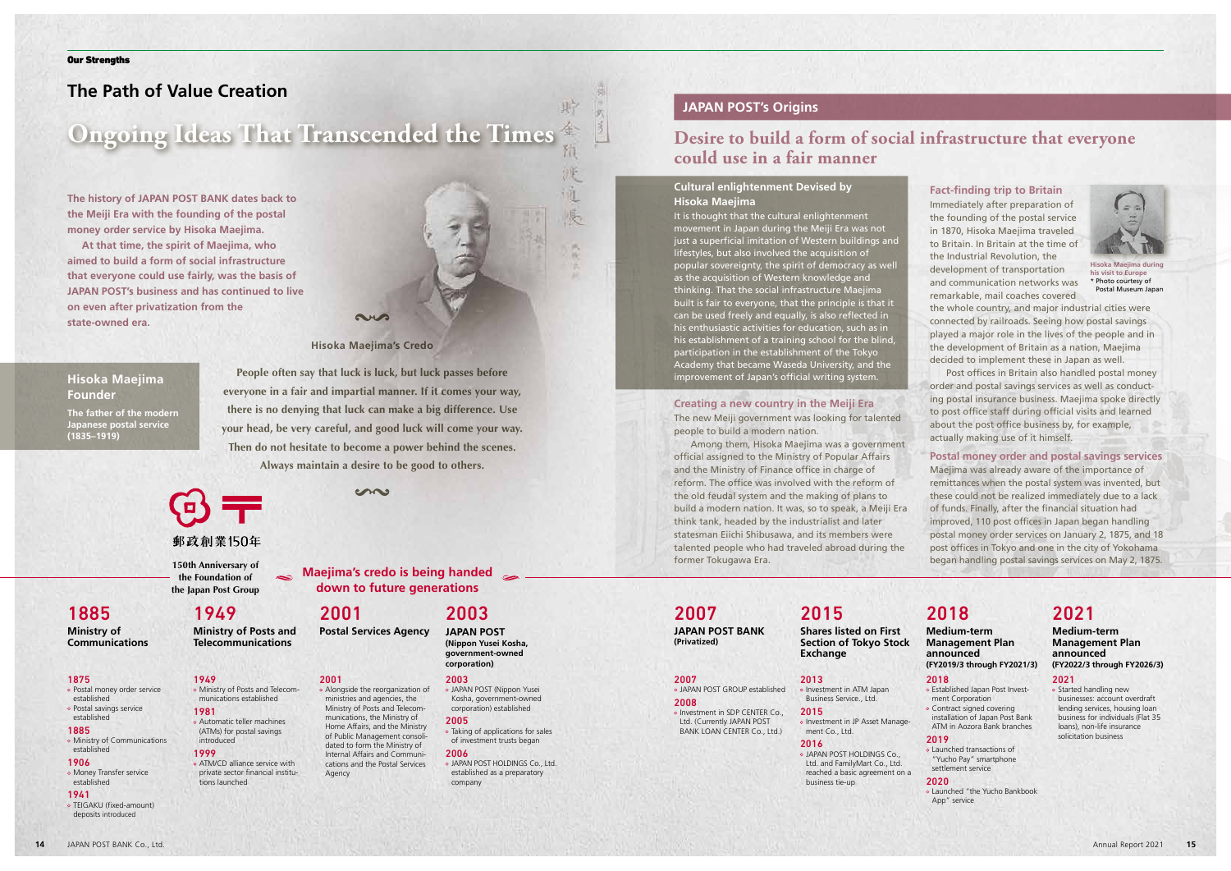### **Fact-finding trip to Britain**

Immediately after preparation of the founding of the postal service in 1870, Hisoka Maejima traveled to Britain. In Britain at the time of the Industrial Revolution, the development of transportation and communication networks was remarkable, mail coaches covered

the whole country, and major industrial cities were connected by railroads. Seeing how postal savings played a major role in the lives of the people and in the development of Britain as a nation, Maejima decided to implement these in Japan as well.

Post offices in Britain also handled postal money order and postal savings services as well as conducting postal insurance business. Maejima spoke directly to post office staff during official visits and learned about the post office business by, for example, actually making use of it himself.

### **Postal money order and postal savings services**

Maejima was already aware of the importance of remittances when the postal system was invented, but these could not be realized immediately due to a lack of funds. Finally, after the financial situation had improved, 110 post offices in Japan began handling postal money order services on January 2, 1875, and 18 post offices in Tokyo and one in the city of Yokohama began handling postal savings services on May 2, 1875.

# **The Path of Value Creation**

# **Ongoing Ideas That Transcended the Times** *Desire to build a form of social infrastructure that everyone*

**The history of JAPAN POST BANK dates back to the Meiji Era with the founding of the postal money order service by Hisoka Maejima.**

**At that time, the spirit of Maejima, who aimed to build a form of social infrastructure that everyone could use fairly, was the basis of JAPAN POST's business and has continued to live on even after privatization from the state-owned era.**

### **Creating a new country in the Meiji Era**

The new Meiji government was looking for talented people to build a modern nation.

### 1885 o Ministry of Communications

Among them, Hisoka Maejima was a government official assigned to the Ministry of Popular Affairs and the Ministry of Finance office in charge of reform. The office was involved with the reform of the old feudal system and the making of plans to build a modern nation. It was, so to speak, a Meiji Era think tank, headed by the industrialist and later statesman Eiichi Shibusawa, and its members were talented people who had traveled abroad during the former Tokugawa Era.



貯

o Investment in ATM Japan Business Service., Ltd. 2015

#### o Investment in JP Asset Management Co., Ltd. 2016

**People often say that luck is luck, but luck passes before everyone in a fair and impartial manner. If it comes your way, there is no denying that luck can make a big difference. Use your head, be very careful, and good luck will come your way.**

**CHA** 

**Then do not hesitate to become a power behind the scenes. Always maintain a desire to be good to others.**

# 郵政創業150年

o Started handling new businesses: account overdraft lending services, housing loan business for individuals (Flat 35 loans), non-life insurance solicitation business

# **could use in a fair manner**

# **JAPAN POST's Origins**

# **Cultural enlightenment Devised by Hisoka Maejima**



**Hisoka Maejima during his visit to Europe** \* Photo courtesy of Postal Museum Japa

It is thought that the cultural enlightenment movement in Japan during the Meiji Era was not just a superficial imitation of Western buildings and lifestyles, but also involved the acquisition of popular sovereignty, the spirit of democracy as well as the acquisition of Western knowledge and thinking. That the social infrastructure Maejima built is fair to everyone, that the principle is that it can be used freely and equally, is also reflected in his enthusiastic activities for education, such as in his establishment of a training school for the blind, participation in the establishment of the Tokyo Academy that became Waseda University, and the improvement of Japan's official writing system.

# **Maejima's credo is being handed**

come

### 1875

 Postal money order service established Postal savings service established

- established 1906
- Money Transfer service established

#### 1941

 TEIGAKU (fixed-amount) deposits introduced

### 1949

- Ministry of Posts and Telecommunications established 1981
- Automatic teller machines (ATMs) for postal savings introduced

# 1999

 ATM/CD alliance service with private sector financial institutions launched

### 2003

 JAPAN POST (Nippon Yusei Kosha, government-owned corporation) established 2005

- Taking of applications for sales of investment trusts began
- 2006 JAPAN POST HOLDINGS Co., Ltd. established as a preparatory company

### 2001

 Alongside the reorganization of ministries and agencies, the Ministry of Posts and Telecommunications, the Ministry of Home Affairs, and the Ministry of Public Management consolidated to form the Ministry of Internal Affairs and Communications and the Postal Services Agency

# **down to future generations** 2001

#### 2007 JAPAN POST GROUP established

2008 o Investment in SDP CENTER Co., Ltd. (Currently JAPAN POST BANK LOAN CENTER Co., Ltd.)

### 2013

 JAPAN POST HOLDINGS Co., Ltd. and FamilyMart Co., Ltd. reached a basic agreement on a business tie-up

### 2018

- Established Japan Post Investment Corporation Contract signed covering installation of Japan Post Bank
- ATM in Aozora Bank branches

## 2019

 Launched transactions of "Yucho Pay" smartphone settlement service

### 2020

 Launched "the Yucho Bankbook App" service

#### 2021

# **Hisoka Maejima Founder**

**The father of the modern Japanese postal service (1835–1919)**

# 1949

**Ministry of Posts and Telecommunications**

**Postal Services Agency**

# 2003 **JAPAN POST (Nippon Yusei Kosha,**

**government-owned corporation)**

2007

**JAPAN POST BANK (Privatized)**

# 2015

**Shares listed on First Section of Tokyo Stock Exchange**

# 2018

#### **Medium-term Management Plan announced (FY2019/3 through FY2021/3)**

# 2021

### **Medium-term Management Plan announced (FY2022/3 through FY2026/3)**

# 1885

**Ministry of Communications** **150th Anniversary of the Foundation of the Japan Post Group**